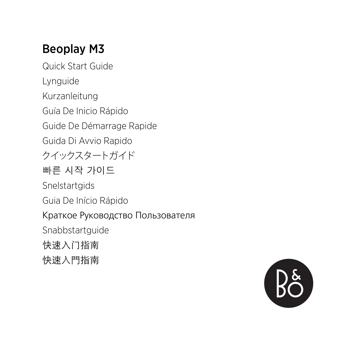### Beoplay M3

Guide Start Quick Lynguide Kurzanleitung Guía De Inicio Rápido Guide De Démarrage Rapide Guida Di Avvio Rapido クイックスタートガイド 빠른 시작 가이드 Snelstartgids Guia De Início Rápido Краткое Руководство Пользователя Snabbstartguide 快速入门指南 快速入門指南

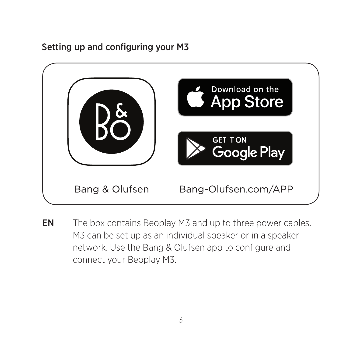Setting up and configuring your M3



EN The box contains Beoplay M3 and up to three power cables. M3 can be set up as an individual speaker or in a speaker network. Use the Bang & Olufsen app to configure and connect your Beoplay M3.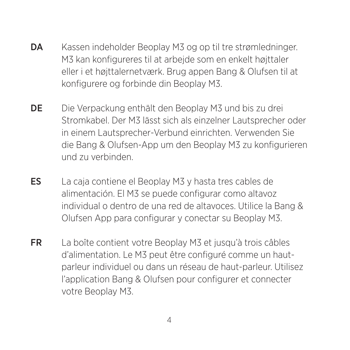- DA Kassen indeholder Beoplay M3 og op til tre strømledninger. M3 kan konfigureres til at arbejde som en enkelt højttaler eller i et højttalernetværk. Brug appen Bang & Olufsen til at konfigurere og forbinde din Beoplay M3.
- DE Die Verpackung enthält den Beoplay M3 und bis zu drei Stromkabel. Der M3 lässt sich als einzelner Lautsprecher oder in einem Lautsprecher-Verbund einrichten. Verwenden Sie die Bang & Olufsen-App um den Beoplay M3 zu konfigurieren und zu verbinden.
- $ES$  La caja contiene el Beoplay M3 y hasta tres cables de alimentación. El M3 se puede configurar como altavoz individual o dentro de una red de altavoces. Utilice la Bang & Olufsen App para configurar y conectar su Beoplay M3.
- FR La boîte contient votre Beoplay M3 et jusqu'à trois câbles parleur individuel ou dans un réseau de haut-parleur. Utilisez d'alimentation. Le M3 peut être configuré comme un hautl'application Bang & Olufsen pour configurer et connecter votre Beoplay M3.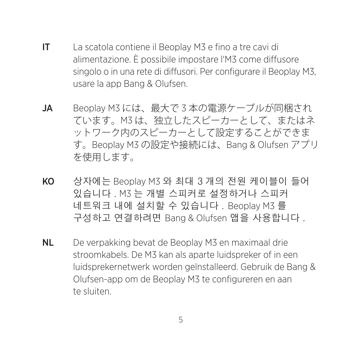- IT La scatola contiene il Beoplay M3 e fino a tre cavi di alimentazione. È possibile impostare l'M3 come diffusore singolo o in una rete di diffusori. Per configurare il Beoplay M3, usare la app Bang & Olufsen.
- JA Beoplay M3 には、最大で3本の電源ケーブルが同梱され ています。M3 は、独立したスピーカーとして、またはネ ットワーク内のスピーカーとして設定することができま す。Beoplay M3 の設定や接続には、Bang & Olufsen アプリ 。を使用します
- KO 상자에는 Beoplay M3 와 최대 3 개의 전원 케이블이 들어 있습니다 . M3 는 개별 스피커로 설정하거나 스피커 네트워크 내에 설치할 수 있습니다 . Beoplay M3 를 구성하고 연결하려면 Bang & Olufsen 앱을 사용합니다.
- **NL** De verpakking bevat de Beoplay M3 en maximaal drie stroomkabels. De M3 kan als aparte luidspreker of in een luidsprekernetwerk worden geïnstalleerd. Gebruik de Bang & Olufsen-app om de Beoplay M3 te configureren en aan te sluiten.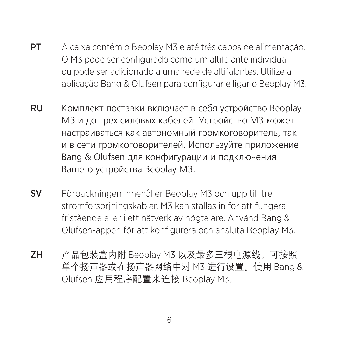- **PT** A caixa contém o Beoplay M3 e até três cabos de alimentação. O M3 pode ser configurado como um altifalante individual ou pode ser adicionado a uma rede de altifalantes. Utilize a aplicação Bang & Olufsen para configurar e ligar o Beoplay M3.
- RU Комплект поставки включает в себя устройство Beoplay МЗ и до трех силовых кабелей. Устройство МЗ может настраиваться как автономный громкоговоритель, так и в сети громкоговорителей. Используйте приложение Bang & Olufsen для конфигурации и подключения Вашего устройства Beoplay M3.
- SV Förpackningen innehåller Beoplay M3 och upp till tre strömförsörjningskablar. M3 kan ställas in för att fungera fristående eller i ett nätverk av högtalare. Använd Bang & Olufsen-appen för att konfigurera och ansluta Beoplay M3.
- ZH 产品包装盒内附 Beoplay M3 以及最多三根电源线。可按照 单个扬声器或在扬声器网络中对 M3 进行设置。使用 Bang & Olufsen 应用程序配置来连接 Beoplay M3。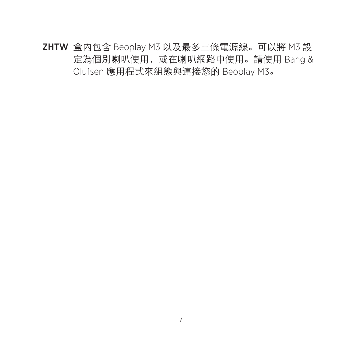ZHTW 盒內包含 Beoplay M3 以及最多三條電源線。可以將 M3 設 定為個別喇叭使用, 或在喇叭網路中使用。請使用 Bang & Olufsen 應用程式來組態與連接您的 Beoplay M3。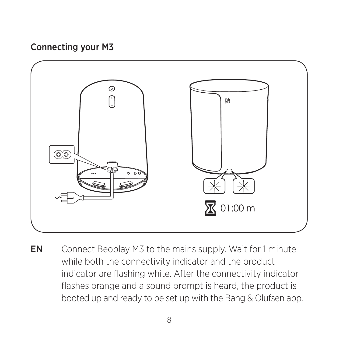#### Connecting your M3



EN Connect Beoplay M3 to the mains supply. Wait for 1 minute while both the connectivity indicator and the product indicator are flashing white. After the connectivity indicator flashes orange and a sound prompt is heard, the product is booted up and ready to be set up with the Bang & Olufsen app.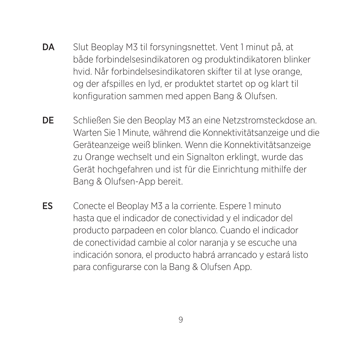- **DA** Slut Beoplay M3 til forsyningsnettet. Vent 1 minut på, at både forbindelsesindikatoren og produktindikatoren blinker hvid. Når forbindelsesindikatoren skifter til at lyse orange, og der afspilles en lyd, er produktet startet op og klart til konfiguration sammen med appen Bang & Olufsen.
- DE Schließen Sie den Beoplay M3 an eine Netzstromsteckdose an. Warten Sie 1 Minute, während die Konnektivitätsanzeige und die Geräteanzeige weiß blinken. Wenn die Konnektivitätsanzeige zu Orange wechselt und ein Signalton erklingt, wurde das Gerät hochgefahren und ist für die Einrichtung mithilfe der Bang & Olufsen-App bereit.
- ES Conecte el Beoplay M3 a la corriente. Espere 1 minuto hasta que el indicador de conectividad y el indicador del producto parpadeen en color blanco. Cuando el indicador de conectividad cambie al color naranja y se escuche una indicación sonora, el producto habrá arrancado y estará listo para configurarse con la Bang & Olufsen App.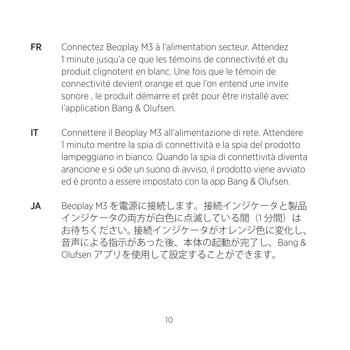- FR Connectez Beoplay M3 à l'alimentation secteur. Attendez 1 minute jusqu'a ce que les témoins de connectivité et du produit clignotent en blanc. Une fois que le témoin de connectivité devient orange et que l'on entend une invite sonore, le produit démarre et prêt pour être installé avec l'application Bang & Olufsen.
- IT Connettere il Beoplay M3 all'alimentazione di rete. Attendere 1 minuto mentre la spia di connettività e la spia del prodotto lampeggiano in bianco. Quando la spia di connettività diventa arancione e si ode un suono di avviso, il prodotto viene avviato ed è pronto a essere impostato con la app Bang & Olufsen.
- JA Beoplay M3 を電源に接続します。接続インジケータと製品 インジケータの両方が白色に点滅している間 (1分間) は お待ちください。接続インジケータがオレンジ色に変化し、 音声による指示があった後、本体の起動が完了し、Bang & Olufsen アプリを使用して設定することができます。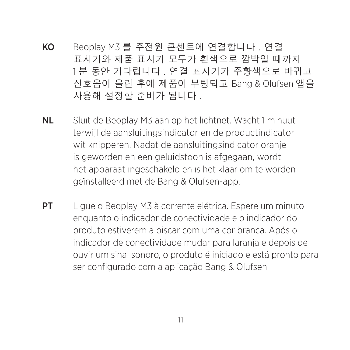- KO Beoplay M3 를 주전원 콘센트에 연결합니다. 연결 표시기와 제품 표시기 모두가 흰색으로 깜박일 때까지 1분 동안 기다립니다 . 연결 표시기가 주황색으로 바뀌고 신호음이 울린 후에 제품이 부팅되고 Bang & Olufsen 앱을 사용해 설정할 준비가 됩니다.
- NL Sluit de Beoplay M3 aan op het lichtnet. Wacht 1 minuut terwijl de aansluitingsindicator en de productindicator wit knipperen. Nadat de aansluitingsindicator oranje is geworden en een geluidstoon is afgegaan, wordt het apparaat ingeschakeld en is het klaar om te worden geïnstalleerd met de Bang & Olufsen-app.
- **PT** Lique o Beoplay M3 à corrente elétrica. Espere um minuto enquanto o indicador de conectividade e o indicador do produto estiverem a piscar com uma cor branca. Após o indicador de conectividade mudar para laranja e depois de para pronto para produto e iniciado e está pronto para ser configurado com a aplicação Bang & Olufsen.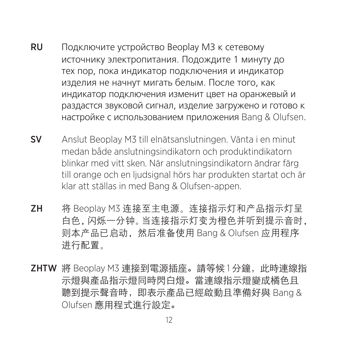- RU Подключите устройство Beoplay M3 к сетевому источнику электропитания. Подождите 1 минуту до тех пор, пока индикатор подключения и индикатор изделия не начнут мигать белым. После того, как индикатор подключения изменит цвет на оранжевый и раздастся звуковой сигнал, изделие загружено и готово к настройке с использованием приложения Bang & Olufsen.
- **SV** Anslut Beoplay M3 till elnätsanslutningen. Vänta i en minut medan både anslutningsindikatorn och produktindikatorn blinkar med vitt sken. När anslutningsindikatorn ändrar färg till orange och en ljudsignal hörs har produkten startat och är klar att ställas in med Bang & Olufsen-appen.
- ZH 将 Beoplay M3 连接至主电源。连接指示灯和产品指示灯呈 白色, 闪烁一分钟。当连接指示灯变为橙色并听到提示音时, 则本产品已启动,然后准备使用 Bang & Olufsen 应用程序 。进行配置
- ZHTW 將 Beoplay M3 連接到電源插座。請等候1分鐘, 此時連線指 示燈與產品指示燈同時閃白燈。當連線指示燈變成橘色且 聽到提示聲音時, 即表示產品已經啟動且準備好與 Bang & Olufsen 應用程式進行設定。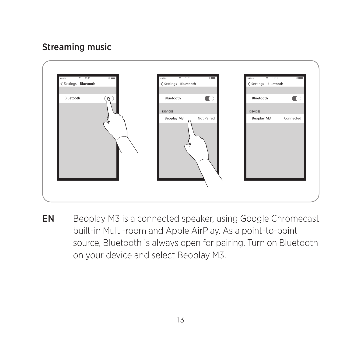#### Streaming music



EN Beoplay M3 is a connected speaker, using Google Chromecast built-in Multi-room and Apple AirPlay. As a point-to-point source, Bluetooth is always open for pairing. Turn on Bluetooth on your device and select Beoplay M3.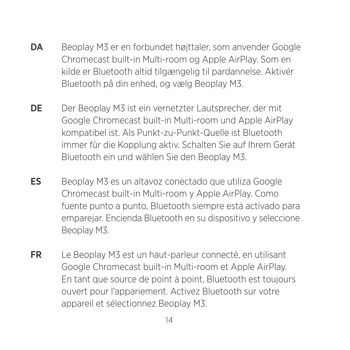- DA Beoplay M3 er en forbundet højttaler, som anvender Google Chromecast built-in Multi-room og Apple AirPlay. Som en kilde er Bluetooth altid tilgængelig til pardannelse. Aktivér Bluetooth på din enhed, og vælg Beoplay M3.
- DE Der Beoplay M3 ist ein vernetzter Lautsprecher, der mit Google Chromecast built-in Multi-room und Apple AirPlay kompatibel ist. Als Punkt-zu-Punkt-Quelle ist Bluetooth immer für die Kopplung aktiv. Schalten Sie auf Ihrem Gerät Bluetooth ein und wählen Sie den Beoplay M3.
- ES Beoplay M3 es un altavoz conectado que utiliza Google Chromecast built-in Multi-room y Apple AirPlay. Como fuente punto a punto, Bluetooth siempre está activado para emparejar. Encienda Bluetooth en su dispositivo y seleccione Beoplay M3.
- **FR** Le Beoplay M3 est un haut-parleur connecté, en utilisant Google Chromecast built-in Multi-room et Apple AirPlay. En tant que source de point à point. Bluetooth est toujours ouvert pour l'appariement. Activez Bluetooth sur votre appareil et sélectionnez Beoplay M3.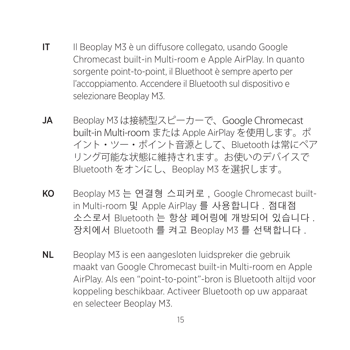- IT Il Beoplay M3 è un diffusore collegato, usando Google Chromecast built-in Multi-room e Apple AirPlay. In quanto sorgente point-to-point, il Bluethoot è sempre aperto per l'accoppiamento. Accendere il Bluetooth sul dispositivo e selezionare Beoplay M3.
- JA Beoplay M3 は接続型スピーカーで、Google Chromecast built-in Multi-room または Apple AirPlay を使用します。ポ イント・ツー・ポイント音源として、Bluetoothは常にペア リング可能な状態に維持されます。お使いのデバイスで Bluetooth をオンにし、Beoplay M3 を選択します。
- in Multi-room 및 Apple AirPlay 를 사용합니다 . 점대점 **KO** Beoplay M3 는 연결형 스피커로, Google Chromecast built-소스로서 Bluetooth 는 항상 페어링에 개방되어 있습니다. 장치에서 Bluetooth 를 켜고 Beoplay M3 를 선택합니다.
- NL Beoplay M3 is een aangesloten luidspreker die gebruik maakt van Google Chromecast built-in Multi-room en Apple AirPlay. Als een "point-to-point"-bron is Bluetooth altijd voor koppeling beschikbaar. Activeer Bluetooth op uw apparaat en selecteer Beoplay M3.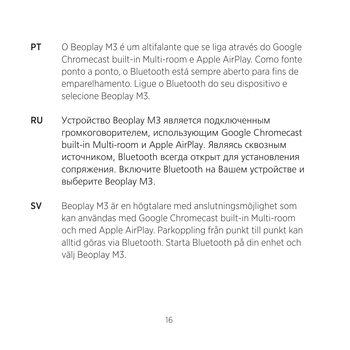- **PT** O Beoplay M3 é um altifalante que se liga através do Google Chromecast built-in Multi-room e Apple AirPlay. Como fonte ponto a ponto, o Bluetooth está sempre aberto para fins de emparelhamento. Ligue o Bluetooth do seu dispositivo e selecione Beoplay M3.
- RU Устройство Beoplay M3 является подключенным громкоговорителем, использующим Google Chromecast built-in Multi-room и Apple AirPlay. Являясь сквозным источником, Bluetooth всегда открыт для установления сопряжения. Включите Bluetooth на Вашем устройстве и выберите Beoplay M3.
- sv Beoplay M3 är en högtalare med anslutningsmöjlighet som kan användas med Google Chromecast built-in Multi-room och med Apple AirPlay. Parkoppling från punkt till punkt kan alltid göras via Bluetooth. Starta Bluetooth på din enhet och välj Beoplay M3.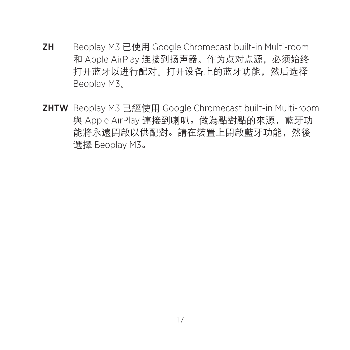- ZH Beoplay M3 已使用 Google Chromecast built-in Multi-room 和 Apple AirPlay 连接到扬声器。作为点对点源, 必须始终 打开蓝牙以进行配对。打开设备上的蓝牙功能,然后选择 Beoplay M3.
- ZHTW Beoplay M3 已經使用 Google Chromecast built-in Multi-room 與 Apple AirPlay 連接到喇叭。做為點對點的來源, 藍牙功 能將永遠開啟以供配對。請在裝置上開啟藍牙功能,然後 選擇 Beoplay M3。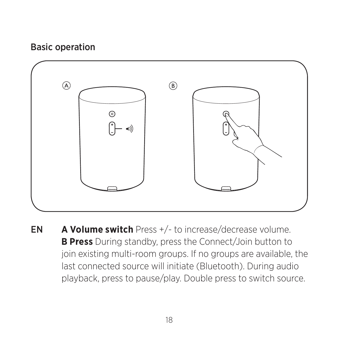#### **Basic operation**



**EN** A Volume switch Press +/- to increase/decrease volume. B Press During standby, press the Connect/Join button to join existing multi-room groups. If no groups are available, the last connected source will initiate (Bluetooth). During audio playback, press to pause/play. Double press to switch source.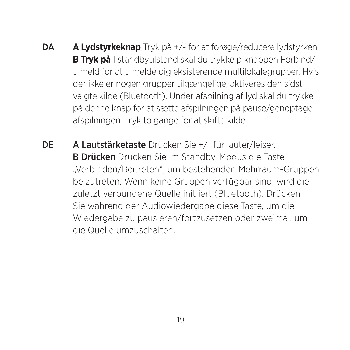- **DA A Lydstyrkeknap** Tryk på +/- for at forøge/reducere lydstyrken. B Tryk på I standbytilstand skal du trykke p knappen Forbind/ tilmeld for at tilmelde dig eksisterende multilokalegrupper. Hvis der ikke er nogen grupper tilgængelige, aktiveres den sidst valgte kilde (Bluetooth). Under afspilning af lyd skal du trykke på denne knap for at sætte afspilningen på pause/genoptage afspilningen. Tryk to gange for at skifte kilde.
- **DE** A Lautstärketaste Drücken Sie +/- für lauter/leiser. B Drücken Drücken Sie im Standby-Modus die Taste "Verbinden/Beitreten", um bestehenden Mehrraum-Gruppen beizutreten. Wenn keine Gruppen verfügbar sind, wird die zuletzt verbundene Quelle initiiert (Bluetooth). Drücken Sie während der Audiowiedergabe diese Taste, um die Wiedergabe zu pausieren/fortzusetzen oder zweimal, um die Quelle umzuschalten.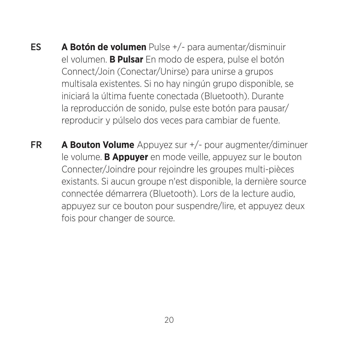- ES **A Botón de volumen** Pulse +/- para aumentar/disminuir el volumen. **B Pulsar** En modo de espera, pulse el botón Connect/Join (Conectar/Unirse) para unirse a grupos multisala existentes. Si no hay ningún grupo disponible, se iniciará la última fuente conectada (Bluetooth). Durante la reproducción de sonido, pulse este botón para pausar/ reproducir y púlselo dos veces para cambiar de fuente.
- **FR A Bouton Volume** Appuyez sur  $+/-$  pour augmenter/diminuer le volume. **B Appuyer** en mode veille, appuyez sur le bouton Connecter/Joindre pour rejoindre les groupes multi-pièces existants. Si aucun groupe n'est disponible, la dernière source connectée démarrera (Bluetooth). Lors de la lecture audio, appuyez sur ce bouton pour suspendre/lire, et appuyez deux fois pour changer de source.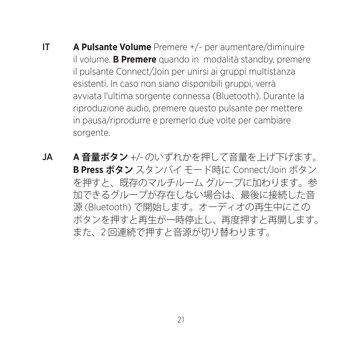- **iff A Pulsante Volume** Premere +/- per aumentare/diminuire il volume. **B Premere** quando in modalità standby, premere il pulsante Connect/Join per unirsi ai gruppi multistanza esistenti. In caso non siano disponibili gruppi, verrà avviata l'ultima sorgente connessa (Bluetooth). Durante la riproduzione audio, premere questo pulsante per mettere in pausa/riprodurre e premerlo due volte per cambiare sorgente.
- **JA A音量ボタン** +/- のいずれかを押して音量を上げ下げます。 **B Press ボタン** スタンバイ モード時に Connect/loin ボタン を押すと、既存のマルチルームグループに加わります。参 加できるグループが存在しない場合は、最後に接続した音 源 (Bluetooth) で開始します。オーディオの再生中にこの ボタンを押すと再生が一時停止し、再度押すと再開します。 また、2回連続で押すと音源が切り替わります。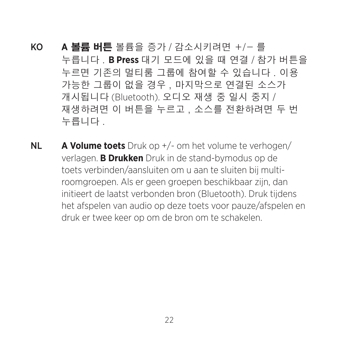KO A 볼륨 버튼 볼륨을 증가 / 감소시키려면 +/- 를 누릅니다 . B Press 대기 모드에 있을 때 연결 / 참가 버튼을 누르면 기존의 멀티룸 그룹에 참여할 수 있습니다 . 이용 가능한 그룹이 없을 경우, 마지막으로 연결된 소스가 개시됩니다 (Bluetooth). 오디오 재생 중 일시 중지 / 재생하려면 이 버튼을 누르고, 소스를 전환하려면 두 번 . 누릅니다

**NL A Volume toets** Druk op +/- om het volume te verhogen/ verlagen. **B Drukken** Druk in de stand-bymodus op de roomgroepen. Als er geen groepen beschikbaar zijn, dan toets verbinden/aansluiten om u aan te sluiten bij multiinitieert de laatst verbonden bron (Bluetooth). Druk tijdens het afspelen van audio op deze toets voor pauze/afspelen en druk er twee keer op om de bron om te schakelen.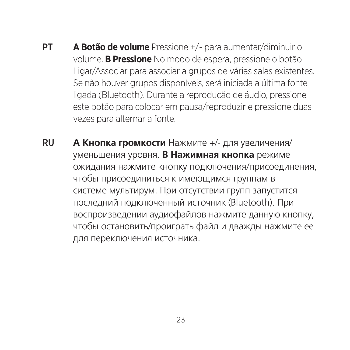- **PT A Botão de volume** Pressione +/- para aumentar/diminuir o volume. **B Pressione** No modo de espera, pressione o botão Ligar/Associar para associar a grupos de várias salas existentes. Se não houver grupos disponíveis, será iniciada a última fonte ligada (Bluetooth). Durante a reprodução de áudio, pressione. este botão para colocar em pausa/reproduzir e pressione duas vezes para alternar a fonte.
- **RU А Кнопка громкости** Нажмите +/- для увеличения/ уменьшения уровня. **В Нажимная кнопка** режиме ожидания нажмите кнопку подключения/присоединения. чтобы присоединиться к имеющимся группам в системе мультирум. При отсутствии групп запустится последний подключенный источник (Bluetooth). При воспроизведении аудиофайлов нажмите данную кнопку, чтобы остановить/проиграть файл и дважды нажмите ее для переключения источника.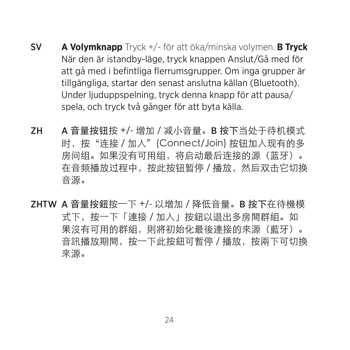- **SV A Volymknapp** Tryck +/- för att öka/minska volymen. **B Tryck** När den är istandby-läge, tryck knappen Anslut/Gå med för att gå med i befintliga flerrumsgrupper. Om inga grupper är tillgängliga. startar den senast anslutna källan (Bluetooth). Under liuduppspelning, tryck denna knapp för att pausa/ spela, och tryck två gånger för att byta källa.
- ZH A 音量按钮按 +/- 增加 / 减小音量。B 按下当外干待机模式 时. 按"连接/加入" (Connect/Join) 按钮加入现有的多 房间组。如果没有可用组。将启动最后连接的源(蓝牙)。 在音频播放过程中,按此按钮暂停/播放,然后双击它切换 。音源
- ZHTW A 音量按鈕按一下 +/- 以增加 / 降低音量。B 按下在待機模 式下, 按一下「連接 / 加入」按鈕以退出多房間群組。如 果沒有可用的群組,則將初始化最後連接的來源(藍牙)。 音訊播放期間,按一下此按鈕可暫停 / 播放,按兩下可切換 。來源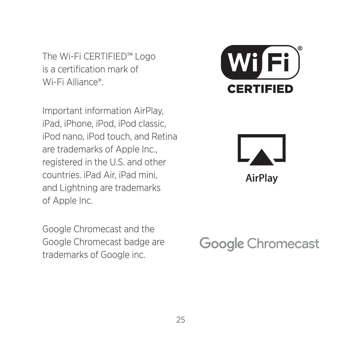The Wi-Fi CERTIFIED™ Logo is a certification mark of Wi-Fi Alliance®

Important information AirPlay. iPad, iPhone, iPod, iPod classic, iPod nano, iPod touch, and Retina are trademarks of Apple Inc.. registered in the U.S. and other countries, iPad Air, iPad mini, and Lightning are trademarks of Apple Inc.

Google Chromecast and the Google Chromecast badge are trademarks of Google inc.





## **Google Chromecast**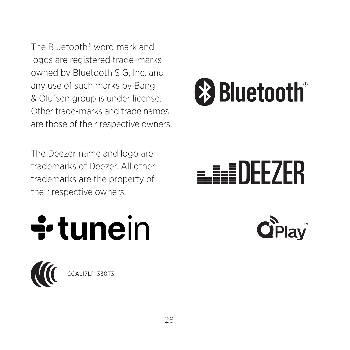The Bluetooth® word mark and logos are registered trade-marks owned by Bluetooth SIG, Inc. and any use of such marks by Bang & Olufsen group is under license. Other trade-marks and trade names are those of their respective owners.

The Deezer name and logo are trademarks of Deezer. All other trademarks are the property of their respective owners.



# **a.HeiDEEZER**





CAL17LP1330T3

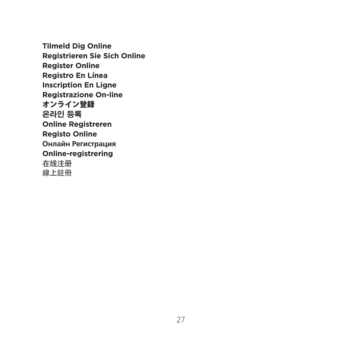**Tilmeld Dig Online Online Sich Sie Registrieren Register Online Registro En Línea Inscription En Ligne Registrazione On-line** オンライン登録 **등록 온라인 Online Registreren Registo Online Регистрация Онлайн Online-registrering** 在线注册 線上註冊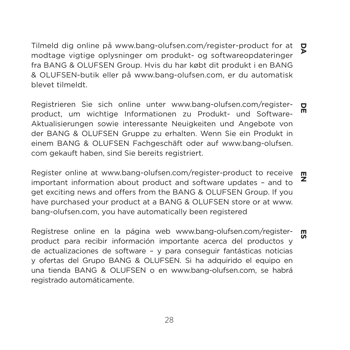Tilmeld dig online på www.bang-olufsen.com/register-product for at  $\Box$ **DE DA**modtage vigtige oplysninger om produkt- og softwareopdateringer fra BANG & OLUFSEN Group. Hvis du har købt dit produkt i en BANG & OLUFSEN-butik eller på www.bang-olufsen.com. er du automatisk .tilmeldt blevet

Registrieren Sie sich online unter www.bang-olufsen.com/register- $\mathbf{a}$ product, um wichtige Informationen zu Produkt- und Softwarem Aktualisierungen sowie interessante Neuigkeiten und Angebote von der BANG & OLUFSEN Gruppe zu erhalten. Wenn Sie ein Produkt in einem BANG & OLUFSEN Fachgeschäft oder auf www.bang-olufsen. com gekauft haben, sind Sie bereits registriert.

Register online at www.bang-olufsen.com/register-product to receive important information about product and software undates - and to get exciting news and offers from the BANG & OLUFSEN Group. If you have purchased your product at a BANG & OLUFSEN store or at www. bang-olufsen.com, you have automatically been registered **ES EN**

Registrese online en la página web www.bang-olufsen.com/register-靊 product para recibir información importante acerca del productos y de actualizaciones de software – y para conseguir fantásticas noticias y ofertas del Grupo BANG & OLUFSEN. Si ha adquirido el equipo en una tienda BANG & OLUFSEN o en www.bang-olufsen.com. se habrá registrado automáticamente.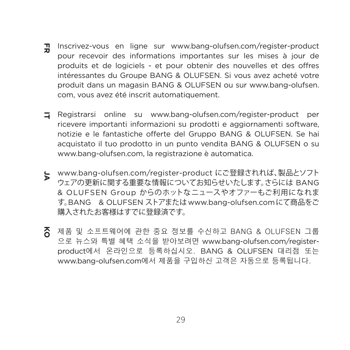- Ŧ. Inscrivez-vous en ligne sur www.bang-olufsen.com/register-product **KO JA IT FR** pour recevoir des informations importantes sur les mises à jour de produits et de logiciels - et pour obtenir des nouvelles et des offres intéressantes du Groupe BANG & OLUFSEN. Si vous avez acheté votre produit dans un magasin BANG & OLUFSEN ou sur www.bang-olufsen. com, vous avez été inscrit automatiquement.
- $\Box$  Registrarsi online su www.bang-olufsen.com/register-product per ricevere importanti informazioni su prodotti e aggiornamenti software, notizie e le fantastiche offerte del Gruppo BANG & OLUFSEN. Se hai acquistato il tuo prodotto in un punto vendita BANG & OLUFSEN o su www.bang-olufsen.com. la registrazione è automatica.
- $\epsilon$  www.bang-olufsen.com/register-product にご登録されれば、製品とソフト ウェアの更新に関する重要な情報についてお知らせいたします。さらには BANG & OLUFSEN Group からのホットなニュースやオファーもご利用になれま す。BANG & OLUFSEN ストアまたは www.bang-olufsen.comにて商品をご 購入されたお客様はすでに登録済です。
- $\overline{6}$  제품 및 소프트웨어에 관한 중요 정보를 수신하고 BANG & OLUFSEN 그룹 product에서 온라인으로 등록하십시오. BANG & OLUFSEN 대리점 또는 으로 뉴스와 특별 혜택 소식을 받아보려면 www.bang-olufsen.com/registerwww.bang-olufsen.com에서 제품을 구입하신 고객은 자동으로 등록됩니다.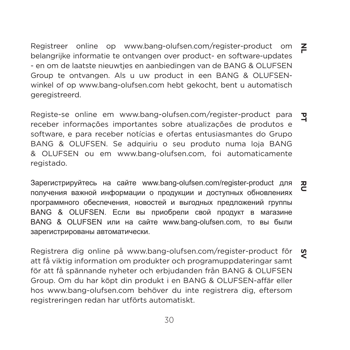Registreer online op www.bang-olufsen.com/register-product om belangrijke informatie te ontvangen over product- en software-updates - en om de laatste nieuwties en aanbiedingen van de BANG & OLUFSEN winkel of op www.bang-olufsen.com hebt gekocht, bent u automatisch Group te ontvangen. Als u uw product in een BANG & OLUFSENgeregistreerd. **NL**

**SV RU PT** Registe-se online em www.bang-olufsen.com/register-product para receber informações importantes sobre atualizações de produtos e software, e para receber notícias e ofertas entusiasmantes do Grupo BANG & OLUFSEN. Se adquiriu o seu produto numa loja BANG & OLUFSEN ou em www.bang-olufsen.com. foi automaticamente .registado

Зарегистрируйтесь на сайте www.bang-olufsen.com/register-product для 짇 получения важной информации о продукции и доступных обновлениях программного обеспечения, новостей и выгодных предложений группы BANG & OLUFSEN. Если вы приобрели свой продукт в магазине BANG & OLUFSEN или на сайте www.bang-olufsen.com, то вы были зарегистрированы автоматически.

Reaistrera dig online på www.bang-olufsen.com/register-product för att få viktig information om produkter och programuppdateringar samt för att få spännande nyheter och erbjudanden från BANG & OLUFSEN Group. Om du har köpt din produkt i en BANG & OLUFSEN-affär eller hos www.bang-olufsen.com behöver du inte registrera dig. eftersom registreringen redan har utförts automatiskt.